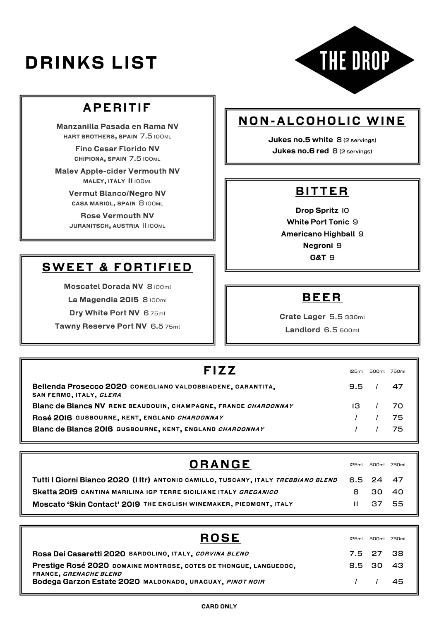# *DRINKS LIST*



# *APERITIF*

*Manzanilla Pasada en Rama NV HART BROTHERS, SPAIN 7.5 100ML*

> *Fino Cesar Florido NV CHIPIONA, SPAIN 7.5 100ML*

*Malev Apple-cider Vermouth NV MALEY, ITALY 11 100ML*

> *Vermut Blanco/Negro NV CASA MARIOL, SPAIN 8 100ML*

> *Rose Vermouth NV JURANITSCH, AUSTRIA 11 100ML*

# *SWEET & FORTIFIED*

*Moscatel Dorada NV 8 100ml* 

*La Magendia 2015 8 100ml* 

*Dry White Port NV 6 75ml*

*Tawny Reserve Port NV 6.5 75ml*

## *NON-ALCOHOLIC WINE*

*Jukes no.5 white 8 (2 servings) Jukes no.6 red 8 (2 servings)*

### *BITTER*

*Drop Spritz 10 White Port Tonic 9 Americano Highball 9 Negroni 9 G&T 9*

#### *BEER*

*Crate Lager 5.5 330ml*

*Landlord 6.5 500ml*

| <b>FIZZ</b>                                                                            | 125ml                  |            | 500ml 750ml |
|----------------------------------------------------------------------------------------|------------------------|------------|-------------|
| Bellenda Prosecco 2020 CONEGLIANO VALDOBBIADENE, GARANTITA,<br>SAN FERMO, ITALY, GLERA | $9.5 \quad / \quad 47$ |            |             |
| Blanc de Blancs NV RENE BEAUDOUIN, CHAMPAGNE, FRANCE CHARDONNAY                        |                        | $13 \t/70$ |             |
| ROSÉ 2016 GUSBOURNE, KENT, ENGLAND CHARDONNAY                                          |                        |            | - 75        |
| Blanc de Blancs 2016 GUSBOURNE, KENT, ENGLAND CHARDONNAY                               |                        |            | 75          |

| <b>ORANGE</b>                                                                      | 125ml        |         | 500ml 750ml |
|------------------------------------------------------------------------------------|--------------|---------|-------------|
| Tutti I Giorni Bianco 2020 (I Itr) ANTONIO CAMILLO, TUSCANY, ITALY TREBBIANO BLEND | 6.5 24 47    |         |             |
| Sketta 2019 CANTINA MARILINA IGP TERRE SICILIANE ITALY GREGANICO                   |              | 8 30 40 |             |
| Moscato 'Skin Contact' 2019 THE ENGLISH WINEMAKER, PIEDMONT, ITALY                 | $\mathbf{H}$ | -37 55  |             |

| <b>ROSE</b>                                                                                 | 125ml |                                                                                                                                                                                                                                                                                                                                                                                                                                    | 500ml 750ml |
|---------------------------------------------------------------------------------------------|-------|------------------------------------------------------------------------------------------------------------------------------------------------------------------------------------------------------------------------------------------------------------------------------------------------------------------------------------------------------------------------------------------------------------------------------------|-------------|
| Rosa Dei Casaretti 2020 BARDOLINO, ITALY, CORVINA BLEND                                     |       | 7.5 27 38                                                                                                                                                                                                                                                                                                                                                                                                                          |             |
| Prestige Rosé 2020 DOMAINE MONTROSE, COTES DE THONGUE, LANGUEDOC,<br>FRANCE, GRENACHE BLEND |       | 8.5 30 43                                                                                                                                                                                                                                                                                                                                                                                                                          |             |
| Bodega Garzon Estate 2020 MALDONADO, URAGUAY, PINOT NOIR                                    |       | $\left  \right $ $\left  \right $ $\left  \right $ $\left  \right $ $\left  \right $ $\left  \right $ $\left  \right $ $\left  \right $ $\left  \right $ $\left  \right $ $\left  \right $ $\left  \right $ $\left  \right $ $\left  \right $ $\left  \right $ $\left  \right $ $\left  \right $ $\left  \right $ $\left  \right $ $\left  \right $ $\left  \right $ $\left  \right $ $\left  \right $ $\left  \right $ $\left  \$ |             |